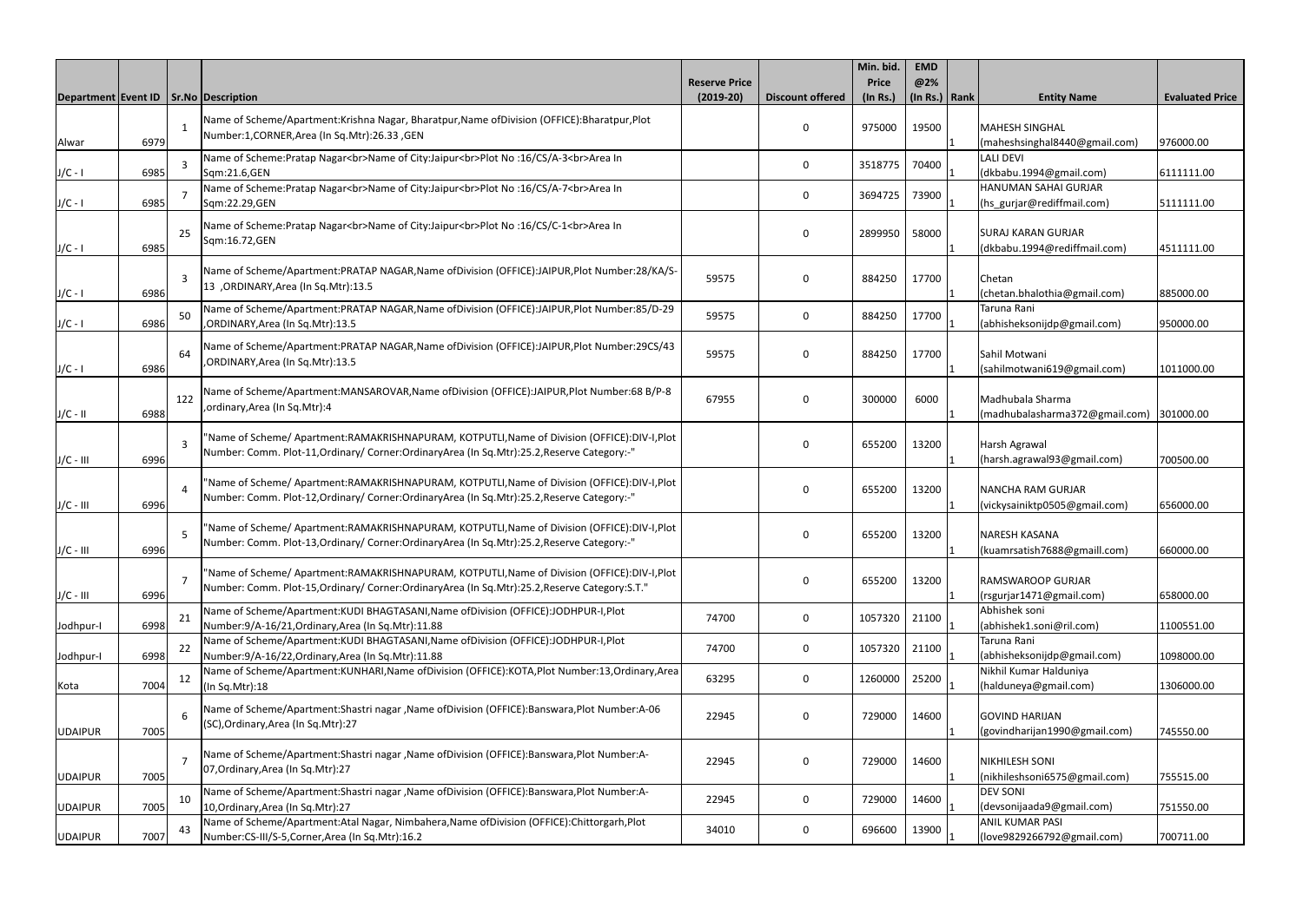|                                          |      |                |                                                                                                     |                      |                         | Min. bid.      | <b>EMD</b>      |                                              |                        |
|------------------------------------------|------|----------------|-----------------------------------------------------------------------------------------------------|----------------------|-------------------------|----------------|-----------------|----------------------------------------------|------------------------|
|                                          |      |                |                                                                                                     | <b>Reserve Price</b> |                         | <b>Price</b>   | @2%             |                                              |                        |
| Department Event ID   Sr. No Description |      |                |                                                                                                     | $(2019-20)$          | <b>Discount offered</b> | $($ ln Rs. $)$ | $(ln Rs.)$ Rank | <b>Entity Name</b>                           | <b>Evaluated Price</b> |
|                                          |      |                | Name of Scheme/Apartment:Krishna Nagar, Bharatpur,Name ofDivision (OFFICE):Bharatpur,Plot           |                      |                         |                |                 |                                              |                        |
|                                          |      | 1              | Number:1,CORNER,Area (In Sq.Mtr):26.33,GEN                                                          |                      | $\Omega$                | 975000         | 19500           | <b>MAHESH SINGHAL</b>                        |                        |
| Alwar                                    | 6979 |                |                                                                                                     |                      |                         |                |                 | (maheshsinghal8440@gmail.com)<br>LALI DEVI   | 976000.00              |
| $J/C - I$                                | 6985 | 3              | Name of Scheme:Pratap Nagar<br>Name of City:Jaipur<br>Plot No:16/CS/A-3<br>Area In<br>Sqm:21.6,GEN  |                      | 0                       | 3518775        | 70400           | (dkbabu.1994@gmail.com)                      | 6111111.00             |
|                                          |      |                | Name of Scheme: Pratap Nagar<br>Name of City: Jaipur<br>>br>Plot No :16/CS/A-7<br>Area In           |                      |                         |                |                 | HANUMAN SAHAI GURJAR                         |                        |
| $J/C - I$                                | 6985 | $\overline{7}$ | Sqm:22.29,GEN                                                                                       |                      | 0                       | 3694725        | 73900           | (hs_gurjar@rediffmail.com)                   | 5111111.00             |
|                                          |      |                |                                                                                                     |                      |                         |                |                 |                                              |                        |
|                                          |      | 25             | Name of Scheme:Pratap Nagar<br>Name of City:Jaipur<br>Plot No:16/CS/C-1<br>Area In<br>Sqm:16.72,GEN |                      | $\mathbf 0$             | 2899950        | 58000           | <b>SURAJ KARAN GURJAR</b>                    |                        |
| $J/C - I$                                | 6985 |                |                                                                                                     |                      |                         |                |                 | (dkbabu.1994@rediffmail.com)                 | 4511111.00             |
|                                          |      |                | Name of Scheme/Apartment:PRATAP NAGAR, Name of Division (OFFICE):JAIPUR, Plot Number:28/KA/S-       |                      |                         |                |                 |                                              |                        |
|                                          |      | 3              | 13.5 ORDINARY, Area (In Sq. Mtr): 13.5                                                              | 59575                | 0                       | 884250         | 17700           | Chetan                                       |                        |
| $J/C - I$                                | 6986 |                |                                                                                                     |                      |                         |                |                 | (chetan.bhalothia@gmail.com)                 | 885000.00              |
|                                          |      | 50             | Name of Scheme/Apartment:PRATAP NAGAR, Name of Division (OFFICE):JAIPUR, Plot Number:85/D-29        | 59575                | 0                       | 884250         | 17700           | Taruna Rani                                  |                        |
| $J/C - I$                                | 6986 |                | , ORDINARY, Area (In Sq. Mtr): 13.5                                                                 |                      |                         |                |                 | (abhisheksonijdp@gmail.com)                  | 950000.00              |
|                                          |      |                | Name of Scheme/Apartment:PRATAP NAGAR,Name ofDivision (OFFICE):JAIPUR,Plot Number:29CS/43           |                      |                         |                |                 |                                              |                        |
|                                          | 6986 | 64             | , ORDINARY, Area (In Sq. Mtr): 13.5                                                                 | 59575                | $\Omega$                | 884250         | 17700           | Sahil Motwani<br>(sahilmotwani619@gmail.com) | 1011000.00             |
| $J/C - I$                                |      |                |                                                                                                     |                      |                         |                |                 |                                              |                        |
|                                          |      | 122            | Name of Scheme/Apartment:MANSAROVAR,Name ofDivision (OFFICE):JAIPUR,Plot Number:68 B/P-8            | 67955                | 0                       | 300000         | 6000            | Madhubala Sharma                             |                        |
| $J/C - II$                               | 6988 |                | ,ordinary, Area (In Sq. Mtr): 4                                                                     |                      |                         |                |                 | (madhubalasharma372@gmail.com) 301000.00     |                        |
|                                          |      |                |                                                                                                     |                      |                         |                |                 |                                              |                        |
|                                          |      | $\overline{3}$ | "Name of Scheme/ Apartment:RAMAKRISHNAPURAM, KOTPUTLI,Name of Division (OFFICE):DIV-I,Plot          |                      | $\Omega$                | 655200         | 13200           | Harsh Agrawal                                |                        |
| $J/C - III$                              | 6996 |                | Number: Comm. Plot-11, Ordinary/ Corner: Ordinary Area (In Sq. Mtr): 25.2, Reserve Category:-"      |                      |                         |                |                 | (harsh.agrawal93@gmail.com)                  | 700500.00              |
|                                          |      |                | "Name of Scheme/ Apartment:RAMAKRISHNAPURAM, KOTPUTLI,Name of Division (OFFICE):DIV-I,Plot          |                      |                         |                |                 |                                              |                        |
|                                          |      | $\overline{A}$ | Number: Comm. Plot-12, Ordinary/ Corner: Ordinary Area (In Sq. Mtr): 25.2, Reserve Category:-"      |                      | 0                       | 655200         | 13200           | <b>NANCHA RAM GURJAR</b>                     |                        |
| $J/C - III$                              | 6996 |                |                                                                                                     |                      |                         |                |                 | vickysainiktp0505@gmail.com)                 | 656000.00              |
|                                          |      |                | 'Name of Scheme/ Apartment:RAMAKRISHNAPURAM, KOTPUTLI,Name of Division (OFFICE):DIV-I,Plot          |                      |                         |                |                 |                                              |                        |
|                                          |      | .5             | Number: Comm. Plot-13, Ordinary/ Corner: Ordinary Area (In Sq. Mtr): 25.2, Reserve Category:-"      |                      | 0                       | 655200         | 13200           | NARESH KASANA                                |                        |
| $J/C - III$                              | 6996 |                |                                                                                                     |                      |                         |                |                 | (kuamrsatish7688@gmaill.com)                 | 660000.00              |
|                                          |      | $\overline{7}$ | "Name of Scheme/ Apartment:RAMAKRISHNAPURAM, KOTPUTLI,Name of Division (OFFICE):DIV-I,Plot          |                      | 0                       | 655200         | 13200           | RAMSWAROOP GURJAR                            |                        |
| $J/C - III$                              | 6996 |                | Number: Comm. Plot-15, Ordinary/ Corner: Ordinary Area (In Sq. Mtr): 25.2, Reserve Category: S.T."  |                      |                         |                |                 | (rsgurjar1471@gmail.com)                     | 658000.00              |
|                                          |      |                | Name of Scheme/Apartment:KUDI BHAGTASANI, Name of Division (OFFICE):JODHPUR-I, Plot                 |                      |                         |                |                 | Abhishek soni                                |                        |
| Jodhpur-I                                | 6998 | 21             | Number:9/A-16/21, Ordinary, Area (In Sq. Mtr): 11.88                                                | 74700                | 0                       | 1057320        | 21100           | (abhishek1.soni@ril.com)                     | 1100551.00             |
|                                          |      |                | Name of Scheme/Apartment:KUDI BHAGTASANI, Name of Division (OFFICE):JODHPUR-I, Plot                 |                      |                         |                |                 | Taruna Rani                                  |                        |
| Jodhpur-I                                | 6998 | 22             | Number:9/A-16/22, Ordinary, Area (In Sq. Mtr):11.88                                                 | 74700                | 0                       | 1057320        | 21100           | (abhisheksonijdp@gmail.com)                  | 1098000.00             |
|                                          |      | 12             | Name of Scheme/Apartment:KUNHARI,Name ofDivision (OFFICE):KOTA,Plot Number:13,Ordinary,Area         | 63295                | 0                       | 1260000        | 25200           | Nikhil Kumar Halduniya                       |                        |
| Kota                                     | 7004 |                | (In Sq.Mtr):18                                                                                      |                      |                         |                |                 | (halduneya@gmail.com)                        | 1306000.00             |
|                                          |      |                | Name of Scheme/Apartment:Shastri nagar ,Name ofDivision (OFFICE):Banswara,Plot Number:A-06          |                      |                         |                |                 |                                              |                        |
|                                          |      | 6              | (SC), Ordinary, Area (In Sq. Mtr): 27                                                               | 22945                | 0                       | 729000         | 14600           | <b>GOVIND HARIJAN</b>                        |                        |
| <b>UDAIPUR</b>                           | 7005 |                |                                                                                                     |                      |                         |                |                 | (govindharijan1990@gmail.com)                | 745550.00              |
|                                          |      | $\overline{7}$ | Name of Scheme/Apartment:Shastri nagar ,Name ofDivision (OFFICE):Banswara,Plot Number:A-            | 22945                | 0                       | 729000         | 14600           | NIKHILESH SONI                               |                        |
| <b>UDAIPUR</b>                           | 7005 |                | 07, Ordinary, Area (In Sq. Mtr): 27                                                                 |                      |                         |                |                 | (nikhileshsoni6575@gmail.com)                | 755515.00              |
|                                          |      |                | Name of Scheme/Apartment:Shastri nagar ,Name ofDivision (OFFICE):Banswara,Plot Number:A-            |                      |                         |                |                 | <b>DEV SONI</b>                              |                        |
| <b>UDAIPUR</b>                           | 7005 | 10             | 10, Ordinary, Area (In Sq. Mtr): 27                                                                 | 22945                | 0                       | 729000         | 14600           | (devsonijaada9@gmail.com)                    | 751550.00              |
|                                          |      |                | Name of Scheme/Apartment:Atal Nagar, Nimbahera, Name of Division (OFFICE):Chittorgarh, Plot         |                      |                         |                |                 | ANIL KUMAR PASI                              |                        |
| <b>UDAIPUR</b>                           | 7007 | 43             | Number:CS-III/S-5, Corner, Area (In Sq. Mtr):16.2                                                   | 34010                | 0                       | 696600         | 13900           | (love9829266792@gmail.com)                   | 700711.00              |